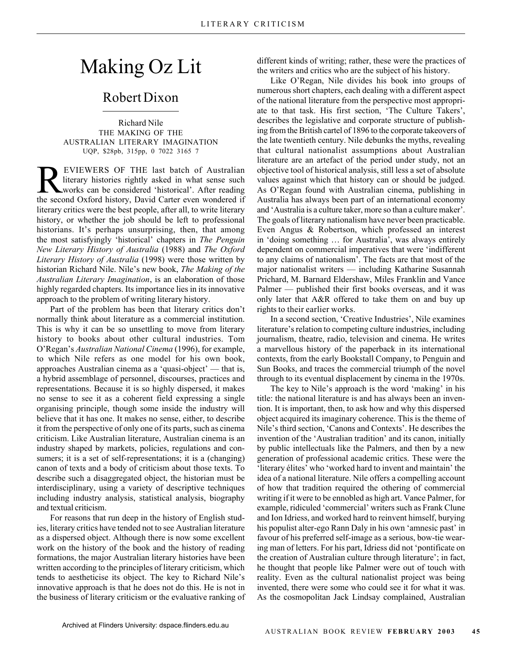## Making Oz Lit

## Robert Dixon

Richard Nile THE MAKING OF THE AUSTRALIAN LITERARY IMAGINATION UQP, \$28pb, 315pp, 0 7022 3165 7

**REVIEWERS OF THE last batch of Australian**<br>literary histories rightly asked in what sense such<br>works can be considered 'historical'. After reading<br>the second Oxford history. David Carter even wondered if literary histories rightly asked in what sense such the second Oxford history, David Carter even wondered if literary critics were the best people, after all, to write literary history, or whether the job should be left to professional historians. It's perhaps unsurprising, then, that among the most satisfyingly 'historical' chapters in *The Penguin New Literary History of Australia* (1988) and *The Oxford Literary History of Australia* (1998) were those written by historian Richard Nile. Nile's new book, *The Making of the Australian Literary Imagination*, is an elaboration of those highly regarded chapters. Its importance lies in its innovative approach to the problem of writing literary history.

Part of the problem has been that literary critics don't normally think about literature as a commercial institution. This is why it can be so unsettling to move from literary history to books about other cultural industries. Tom O'Regan's *Australian National Cinema* (1996), for example, to which Nile refers as one model for his own book, approaches Australian cinema as a 'quasi-object' — that is, a hybrid assemblage of personnel, discourses, practices and representations. Because it is so highly dispersed, it makes no sense to see it as a coherent field expressing a single organising principle, though some inside the industry will believe that it has one. It makes no sense, either, to describe it from the perspective of only one of its parts, such as cinema criticism. Like Australian literature, Australian cinema is an industry shaped by markets, policies, regulations and consumers; it is a set of self-representations; it is a (changing) canon of texts and a body of criticism about those texts. To describe such a disaggregated object, the historian must be interdisciplinary, using a variety of descriptive techniques including industry analysis, statistical analysis, biography and textual criticism.

For reasons that run deep in the history of English studies, literary critics have tended not to see Australian literature as a dispersed object. Although there is now some excellent work on the history of the book and the history of reading formations, the major Australian literary histories have been written according to the principles of literary criticism, which tends to aestheticise its object. The key to Richard Nile's innovative approach is that he does not do this. He is not in the business of literary criticism or the evaluative ranking of different kinds of writing; rather, these were the practices of the writers and critics who are the subject of his history.

Like O'Regan, Nile divides his book into groups of numerous short chapters, each dealing with a different aspect of the national literature from the perspective most appropriate to that task. His first section, 'The Culture Takers', describes the legislative and corporate structure of publishing from the British cartel of 1896 to the corporate takeovers of the late twentieth century. Nile debunks the myths, revealing that cultural nationalist assumptions about Australian literature are an artefact of the period under study, not an objective tool of historical analysis, still less a set of absolute values against which that history can or should be judged. As O'Regan found with Australian cinema, publishing in Australia has always been part of an international economy and 'Australia is a culture taker, more so than a culture maker'. The goals of literary nationalism have never been practicable. Even Angus & Robertson, which professed an interest in 'doing something … for Australia', was always entirely dependent on commercial imperatives that were 'indifferent to any claims of nationalism'. The facts are that most of the major nationalist writers — including Katharine Susannah Prichard, M. Barnard Eldershaw, Miles Franklin and Vance Palmer — published their first books overseas, and it was only later that A&R offered to take them on and buy up rights to their earlier works.

In a second section, 'Creative Industries', Nile examines literature's relation to competing culture industries, including journalism, theatre, radio, television and cinema. He writes a marvellous history of the paperback in its international contexts, from the early Bookstall Company, to Penguin and Sun Books, and traces the commercial triumph of the novel through to its eventual displacement by cinema in the 1970s.

The key to Nile's approach is the word 'making' in his title: the national literature is and has always been an invention. It is important, then, to ask how and why this dispersed object acquired its imaginary coherence. This is the theme of Nile's third section, 'Canons and Contexts'. He describes the invention of the 'Australian tradition' and its canon, initially by public intellectuals like the Palmers, and then by a new generation of professional academic critics. These were the 'literary élites' who 'worked hard to invent and maintain' the idea of a national literature. Nile offers a compelling account of how that tradition required the othering of commercial writing if it were to be ennobled as high art. Vance Palmer, for example, ridiculed 'commercial' writers such as Frank Clune and Ion Idriess, and worked hard to reinvent himself, burying his populist alter-ego Rann Daly in his own 'amnesic past' in favour of his preferred self-image as a serious, bow-tie wearing man of letters. For his part, Idriess did not 'pontificate on the creation of Australian culture through literature'; in fact, he thought that people like Palmer were out of touch with reality. Even as the cultural nationalist project was being invented, there were some who could see it for what it was. As the cosmopolitan Jack Lindsay complained, Australian